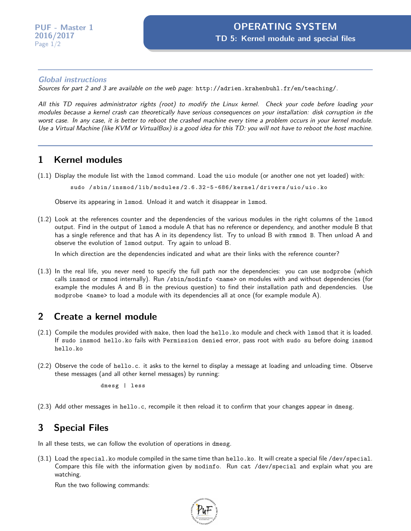## **Global instructions**

Sources for part 2 and 3 are available on the web page: <http://adrien.krahenbuhl.fr/en/teaching/>.

All this TD requires administrator rights (root) to modify the Linux kernel. Check your code before loading your modules because a kernel crash can theoretically have serious consequences on your installation: disk corruption in the worst case. In any case, it is better to reboot the crashed machine every time a problem occurs in your kernel module. Use a Virtual Machine (like KVM or VirtualBox) is a good idea for this TD: you will not have to reboot the host machine.

## **1 Kernel modules**

(1.1) Display the module list with the lsmod command. Load the uio module (or another one not yet loaded) with:

sudo / sbin / insmod / lib / modules /2.6.32 -5 -686/ kernel / drivers / uio / uio . ko

Observe its appearing in lsmod. Unload it and watch it disappear in lsmod.

(1.2) Look at the references counter and the dependencies of the various modules in the right columns of the lsmod output. Find in the output of lsmod a module A that has no reference or dependency, and another module B that has a single reference and that has A in its dependency list. Try to unload B with rmmod B. Then unload A and observe the evolution of lsmod output. Try again to unload B.

In which direction are the dependencies indicated and what are their links with the reference counter?

(1.3) In the real life, you never need to specify the full path nor the dependencies: you can use modprobe (which calls insmod or rmmod internally). Run /sbin/modinfo <name> on modules with and without dependencies (for example the modules A and B in the previous question) to find their installation path and dependencies. Use modprobe <name> to load a module with its dependencies all at once (for example module A).

## **2 Create a kernel module**

- (2.1) Compile the modules provided with make, then load the hello.ko module and check with lsmod that it is loaded. If sudo insmod hello.ko fails with Permission denied error, pass root with sudo su before doing insmod hello.ko
- (2.2) Observe the code of hello.c. it asks to the kernel to display a message at loading and unloading time. Observe these messages (and all other kernel messages) by running:

dmesg | less

(2.3) Add other messages in hello.c, recompile it then reload it to confirm that your changes appear in dmesg.

## **3 Special Files**

In all these tests, we can follow the evolution of operations in dmesg.

(3.1) Load the special.ko module compiled in the same time than hello.ko. It will create a special file /dev/special. Compare this file with the information given by modinfo. Run cat /dev/special and explain what you are watching.

Run the two following commands: